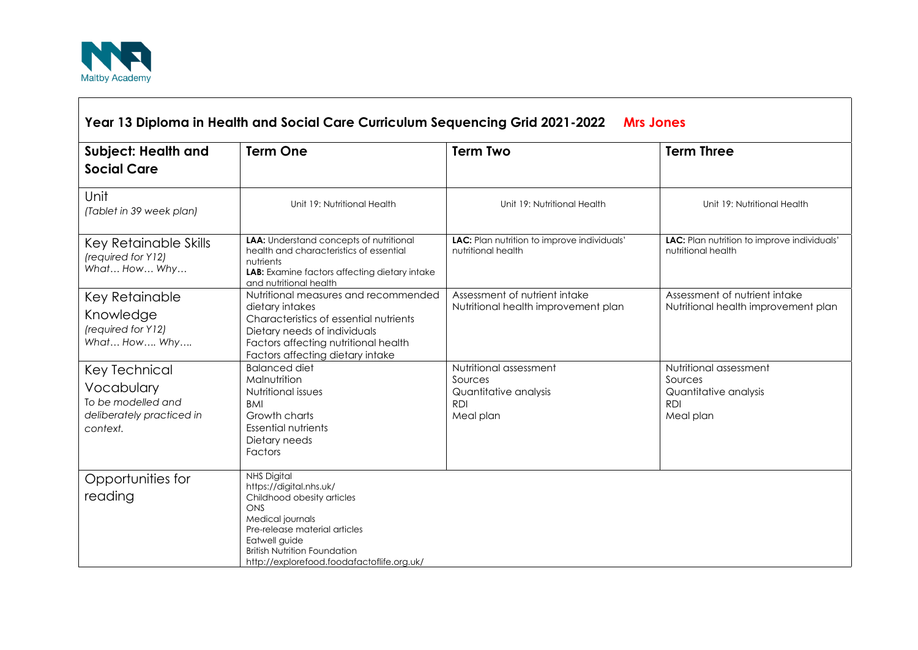

| Year 13 Diploma in Health and Social Care Curriculum Sequencing Grid 2021-2022<br><b>Mrs Jones</b> |                                                                                                                                                                                                                                               |                                                                                       |                                                                                       |
|----------------------------------------------------------------------------------------------------|-----------------------------------------------------------------------------------------------------------------------------------------------------------------------------------------------------------------------------------------------|---------------------------------------------------------------------------------------|---------------------------------------------------------------------------------------|
| <b>Subject: Health and</b><br><b>Social Care</b>                                                   | <b>Term One</b>                                                                                                                                                                                                                               | <b>Term Two</b>                                                                       | <b>Term Three</b>                                                                     |
| Unit<br>(Tablet in 39 week plan)                                                                   | Unit 19: Nutritional Health                                                                                                                                                                                                                   | Unit 19: Nutritional Health                                                           | Unit 19: Nutritional Health                                                           |
| Key Retainable Skills<br>(required for Y12)<br>What How Why                                        | <b>LAA:</b> Understand concepts of nutritional<br>health and characteristics of essential<br>nutrients<br>LAB: Examine factors affecting dietary intake<br>and nutritional health                                                             | LAC: Plan nutrition to improve individuals'<br>nutritional health                     | LAC: Plan nutrition to improve individuals'<br>nutritional health                     |
| Key Retainable<br>Knowledge<br>(required for Y12)<br>What How Why                                  | Nutritional measures and recommended<br>dietary intakes<br>Characteristics of essential nutrients<br>Dietary needs of individuals<br>Factors affecting nutritional health<br>Factors affecting dietary intake                                 | Assessment of nutrient intake<br>Nutritional health improvement plan                  | Assessment of nutrient intake<br>Nutritional health improvement plan                  |
| Key Technical<br>Vocabulary<br>To be modelled and<br>deliberately practiced in<br>context.         | <b>Balanced diet</b><br>Malnutrition<br>Nutritional issues<br><b>BMI</b><br>Growth charts<br><b>Essential nutrients</b><br>Dietary needs<br><b>Factors</b>                                                                                    | Nutritional assessment<br>Sources<br>Quantitative analysis<br><b>RDI</b><br>Meal plan | Nutritional assessment<br>Sources<br>Quantitative analysis<br><b>RDI</b><br>Meal plan |
| Opportunities for<br>reading                                                                       | <b>NHS Digital</b><br>https://digital.nhs.uk/<br>Childhood obesity articles<br>ONS<br>Medical journals<br>Pre-release material articles<br>Eatwell guide<br><b>British Nutrition Foundation</b><br>http://explorefood.foodafactoflife.org.uk/ |                                                                                       |                                                                                       |